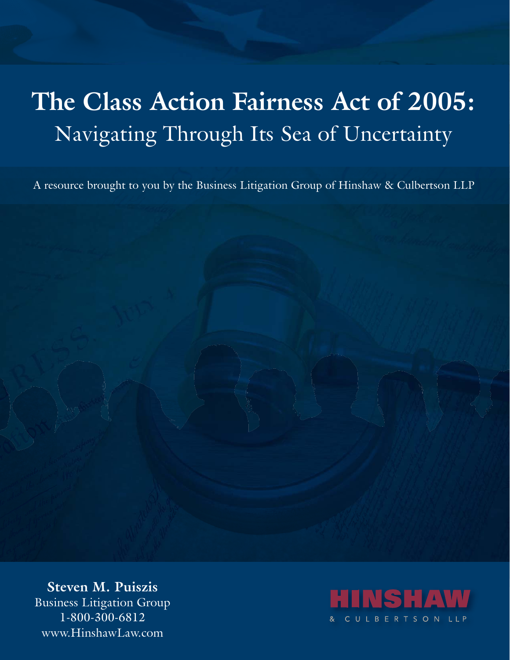# **The Class Action Fairness Act of 2005:** Navigating Through Its Sea of Uncertainty

A resource brought to you by the Business Litigation Group of Hinshaw & Culbertson LLP

**Steven M. Puiszis** Business Litigation Group 1-800-300-6812 www.HinshawLaw.com

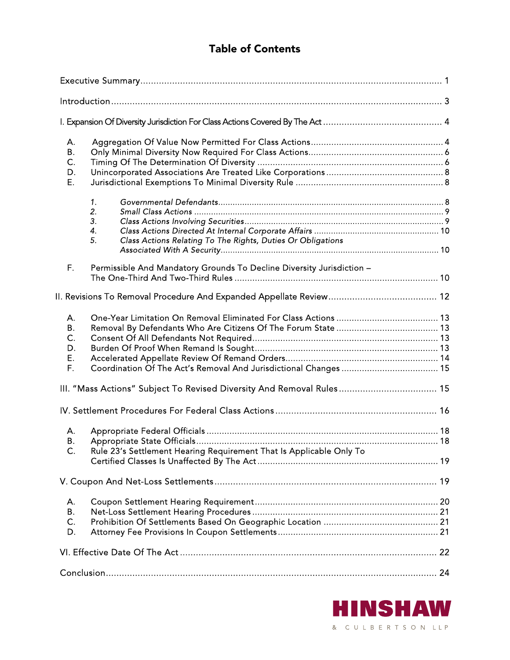## Table of Contents

| А.<br>Β.<br>C.<br>D.<br>E.                                                                               |  |
|----------------------------------------------------------------------------------------------------------|--|
| 1.<br>2.<br>3.<br>4.<br>Class Actions Relating To The Rights, Duties Or Obligations<br>5.                |  |
| F.<br>Permissible And Mandatory Grounds To Decline Diversity Jurisdiction -                              |  |
|                                                                                                          |  |
| Α.<br>В.<br>C.<br>D.<br>Е.<br>F.                                                                         |  |
| III. "Mass Actions" Subject To Revised Diversity And Removal Rules 15                                    |  |
|                                                                                                          |  |
| А.<br><b>B.</b><br>Rule 23's Settlement Hearing Requirement That Is Applicable Only To<br>$\mathsf{C}$ . |  |
|                                                                                                          |  |
| Α.<br>В.<br>C.<br>D.                                                                                     |  |
|                                                                                                          |  |
|                                                                                                          |  |

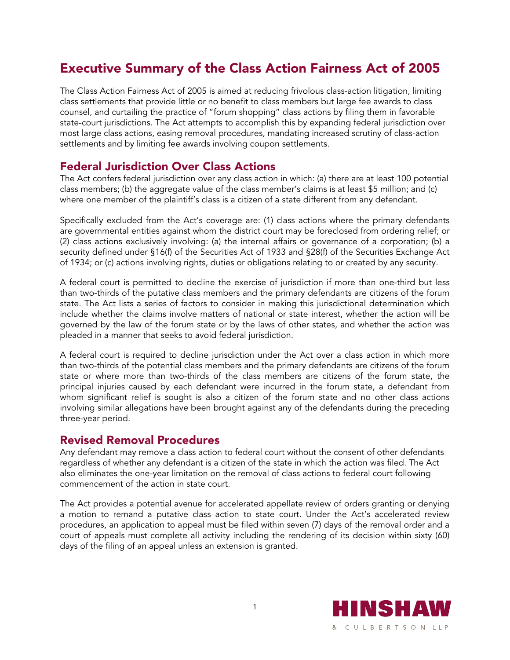## Executive Summary of the Class Action Fairness Act of 2005

The Class Action Fairness Act of 2005 is aimed at reducing frivolous class-action litigation, limiting class settlements that provide little or no benefit to class members but large fee awards to class counsel, and curtailing the practice of "forum shopping" class actions by filing them in favorable state-court jurisdictions. The Act attempts to accomplish this by expanding federal jurisdiction over most large class actions, easing removal procedures, mandating increased scrutiny of class-action settlements and by limiting fee awards involving coupon settlements.

#### Federal Jurisdiction Over Class Actions

The Act confers federal jurisdiction over any class action in which: (a) there are at least 100 potential class members; (b) the aggregate value of the class member's claims is at least \$5 million; and (c) where one member of the plaintiff's class is a citizen of a state different from any defendant.

Specifically excluded from the Act's coverage are: (1) class actions where the primary defendants are governmental entities against whom the district court may be foreclosed from ordering relief; or (2) class actions exclusively involving: (a) the internal affairs or governance of a corporation; (b) a security defined under §16(f) of the Securities Act of 1933 and §28(f) of the Securities Exchange Act of 1934; or (c) actions involving rights, duties or obligations relating to or created by any security.

A federal court is permitted to decline the exercise of jurisdiction if more than one-third but less than two-thirds of the putative class members and the primary defendants are citizens of the forum state. The Act lists a series of factors to consider in making this jurisdictional determination which include whether the claims involve matters of national or state interest, whether the action will be governed by the law of the forum state or by the laws of other states, and whether the action was pleaded in a manner that seeks to avoid federal jurisdiction.

A federal court is required to decline jurisdiction under the Act over a class action in which more than two-thirds of the potential class members and the primary defendants are citizens of the forum state or where more than two-thirds of the class members are citizens of the forum state, the principal injuries caused by each defendant were incurred in the forum state, a defendant from whom significant relief is sought is also a citizen of the forum state and no other class actions involving similar allegations have been brought against any of the defendants during the preceding three-year period.

#### Revised Removal Procedures

Any defendant may remove a class action to federal court without the consent of other defendants regardless of whether any defendant is a citizen of the state in which the action was filed. The Act also eliminates the one-year limitation on the removal of class actions to federal court following commencement of the action in state court.

The Act provides a potential avenue for accelerated appellate review of orders granting or denying a motion to remand a putative class action to state court. Under the Act's accelerated review procedures, an application to appeal must be filed within seven (7) days of the removal order and a court of appeals must complete all activity including the rendering of its decision within sixty (60) days of the filing of an appeal unless an extension is granted.

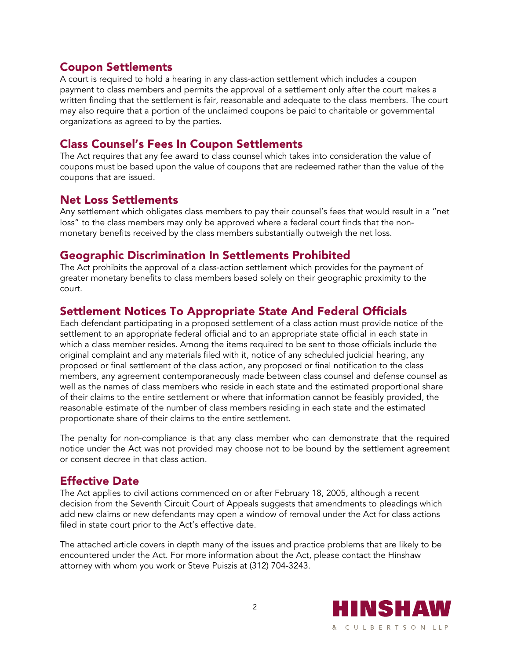## Coupon Settlements

A court is required to hold a hearing in any class-action settlement which includes a coupon payment to class members and permits the approval of a settlement only after the court makes a written finding that the settlement is fair, reasonable and adequate to the class members. The court may also require that a portion of the unclaimed coupons be paid to charitable or governmental organizations as agreed to by the parties.

## Class Counsel's Fees In Coupon Settlements

The Act requires that any fee award to class counsel which takes into consideration the value of coupons must be based upon the value of coupons that are redeemed rather than the value of the coupons that are issued.

## Net Loss Settlements

Any settlement which obligates class members to pay their counsel's fees that would result in a "net loss" to the class members may only be approved where a federal court finds that the nonmonetary benefits received by the class members substantially outweigh the net loss.

## Geographic Discrimination In Settlements Prohibited

The Act prohibits the approval of a class-action settlement which provides for the payment of greater monetary benefits to class members based solely on their geographic proximity to the court.

## Settlement Notices To Appropriate State And Federal Officials

Each defendant participating in a proposed settlement of a class action must provide notice of the settlement to an appropriate federal official and to an appropriate state official in each state in which a class member resides. Among the items required to be sent to those officials include the original complaint and any materials filed with it, notice of any scheduled judicial hearing, any proposed or final settlement of the class action, any proposed or final notification to the class members, any agreement contemporaneously made between class counsel and defense counsel as well as the names of class members who reside in each state and the estimated proportional share of their claims to the entire settlement or where that information cannot be feasibly provided, the reasonable estimate of the number of class members residing in each state and the estimated proportionate share of their claims to the entire settlement.

The penalty for non-compliance is that any class member who can demonstrate that the required notice under the Act was not provided may choose not to be bound by the settlement agreement or consent decree in that class action.

## Effective Date

The Act applies to civil actions commenced on or after February 18, 2005, although a recent decision from the Seventh Circuit Court of Appeals suggests that amendments to pleadings which add new claims or new defendants may open a window of removal under the Act for class actions filed in state court prior to the Act's effective date.

The attached article covers in depth many of the issues and practice problems that are likely to be encountered under the Act. For more information about the Act, please contact the Hinshaw attorney with whom you work or Steve Puiszis at (312) 704-3243.

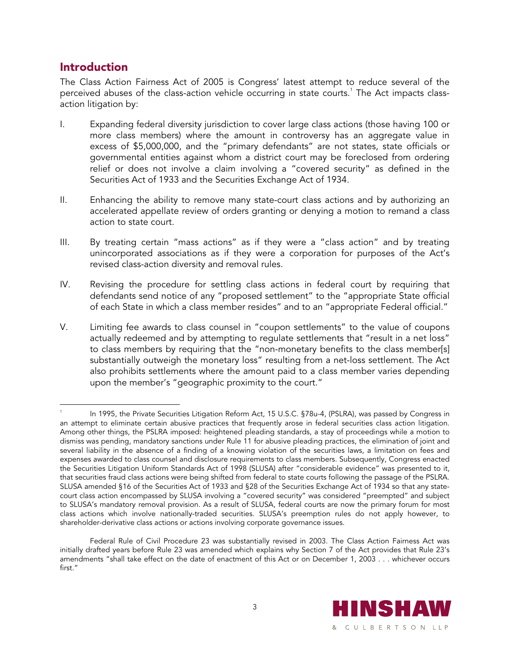### Introduction

The Class Action Fairness Act of 2005 is Congress' latest attempt to reduce several of the perceived abuses of the class-action vehicle occurring in state courts. $^{\rm 1}$  The Act impacts classaction litigation by:

- I. Expanding federal diversity jurisdiction to cover large class actions (those having 100 or more class members) where the amount in controversy has an aggregate value in excess of \$5,000,000, and the "primary defendants" are not states, state officials or governmental entities against whom a district court may be foreclosed from ordering relief or does not involve a claim involving a "covered security" as defined in the Securities Act of 1933 and the Securities Exchange Act of 1934.
- II. Enhancing the ability to remove many state-court class actions and by authorizing an accelerated appellate review of orders granting or denying a motion to remand a class action to state court.
- III. By treating certain "mass actions" as if they were a "class action" and by treating unincorporated associations as if they were a corporation for purposes of the Act's revised class-action diversity and removal rules.
- IV. Revising the procedure for settling class actions in federal court by requiring that defendants send notice of any "proposed settlement" to the "appropriate State official of each State in which a class member resides" and to an "appropriate Federal official."
- V. Limiting fee awards to class counsel in "coupon settlements" to the value of coupons actually redeemed and by attempting to regulate settlements that "result in a net loss" to class members by requiring that the "non-monetary benefits to the class member[s] substantially outweigh the monetary loss" resulting from a net-loss settlement. The Act also prohibits settlements where the amount paid to a class member varies depending upon the member's "geographic proximity to the court."

Federal Rule of Civil Procedure 23 was substantially revised in 2003. The Class Action Fairness Act was initially drafted years before Rule 23 was amended which explains why Section 7 of the Act provides that Rule 23's amendments "shall take effect on the date of enactment of this Act or on December 1, 2003 . . . whichever occurs first."



 $\overline{a}$ 1 In 1995, the Private Securities Litigation Reform Act, 15 U.S.C. §78u-4, (PSLRA), was passed by Congress in an attempt to eliminate certain abusive practices that frequently arose in federal securities class action litigation. Among other things, the PSLRA imposed: heightened pleading standards, a stay of proceedings while a motion to dismiss was pending, mandatory sanctions under Rule 11 for abusive pleading practices, the elimination of joint and several liability in the absence of a finding of a knowing violation of the securities laws, a limitation on fees and expenses awarded to class counsel and disclosure requirements to class members. Subsequently, Congress enacted the Securities Litigation Uniform Standards Act of 1998 (SLUSA) after "considerable evidence" was presented to it, that securities fraud class actions were being shifted from federal to state courts following the passage of the PSLRA. SLUSA amended §16 of the Securities Act of 1933 and §28 of the Securities Exchange Act of 1934 so that any statecourt class action encompassed by SLUSA involving a "covered security" was considered "preempted" and subject to SLUSA's mandatory removal provision. As a result of SLUSA, federal courts are now the primary forum for most class actions which involve nationally-traded securities. SLUSA's preemption rules do not apply however, to shareholder-derivative class actions or actions involving corporate governance issues.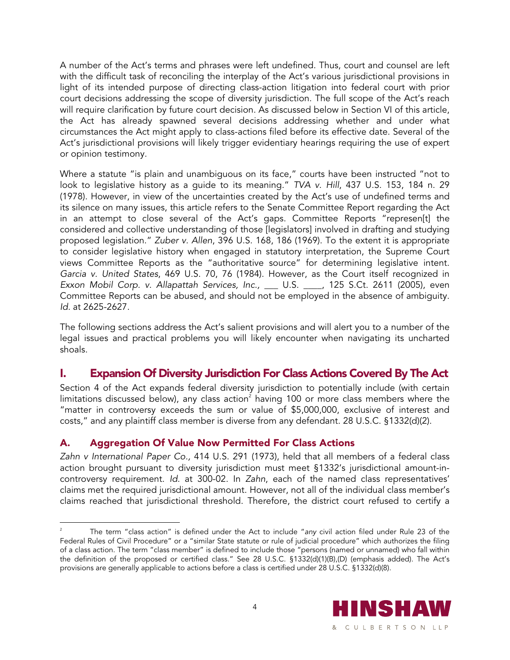A number of the Act's terms and phrases were left undefined. Thus, court and counsel are left with the difficult task of reconciling the interplay of the Act's various jurisdictional provisions in light of its intended purpose of directing class-action litigation into federal court with prior court decisions addressing the scope of diversity jurisdiction. The full scope of the Act's reach will require clarification by future court decision. As discussed below in Section VI of this article, the Act has already spawned several decisions addressing whether and under what circumstances the Act might apply to class-actions filed before its effective date. Several of the Act's jurisdictional provisions will likely trigger evidentiary hearings requiring the use of expert or opinion testimony.

Where a statute "is plain and unambiguous on its face," courts have been instructed "not to look to legislative history as a guide to its meaning." *TVA v. Hill*, 437 U.S. 153, 184 n. 29 (1978). However, in view of the uncertainties created by the Act's use of undefined terms and its silence on many issues, this article refers to the Senate Committee Report regarding the Act in an attempt to close several of the Act's gaps. Committee Reports "represen[t] the considered and collective understanding of those [legislators] involved in drafting and studying proposed legislation." *Zuber v. Allen*, 396 U.S. 168, 186 (1969). To the extent it is appropriate to consider legislative history when engaged in statutory interpretation, the Supreme Court views Committee Reports as the "authoritative source" for determining legislative intent. *Garcia v. United States*, 469 U.S. 70, 76 (1984). However, as the Court itself recognized in *Exxon Mobil Corp. v. Allapattah Services, Inc.,* \_\_\_ U.S. \_\_\_\_, 125 S.Ct. 2611 (2005), even Committee Reports can be abused, and should not be employed in the absence of ambiguity. *Id.* at 2625-2627.

The following sections address the Act's salient provisions and will alert you to a number of the legal issues and practical problems you will likely encounter when navigating its uncharted shoals.

## I. Expansion Of Diversity Jurisdiction For Class Actions Covered By The Act

Section 4 of the Act expands federal diversity jurisdiction to potentially include (with certain limitations discussed below), any class action $^{\scriptscriptstyle 2}$  having 100 or more class members where the "matter in controversy exceeds the sum or value of \$5,000,000, exclusive of interest and costs," and any plaintiff class member is diverse from any defendant. 28 U.S.C. §1332(d)(2).

#### A. Aggregation Of Value Now Permitted For Class Actions

 $\overline{a}$ 

*Zahn v International Paper Co.,* 414 U.S. 291 (1973), held that all members of a federal class action brought pursuant to diversity jurisdiction must meet §1332's jurisdictional amount-incontroversy requirement. *Id.* at 300-02. In *Zahn*, each of the named class representatives' claims met the required jurisdictional amount. However, not all of the individual class member's claims reached that jurisdictional threshold. Therefore, the district court refused to certify a

<sup>2</sup> The term "class action" is defined under the Act to include "*any* civil action filed under Rule 23 of the Federal Rules of Civil Procedure" or a "similar State statute or rule of judicial procedure" which authorizes the filing of a class action. The term "class member" is defined to include those "persons (named or unnamed) who fall within the definition of the proposed or certified class." See 28 U.S.C. §1332(d)(1)(B),(D) (emphasis added). The Act's provisions are generally applicable to actions before a class is certified under 28 U.S.C. §1332(d)(8).

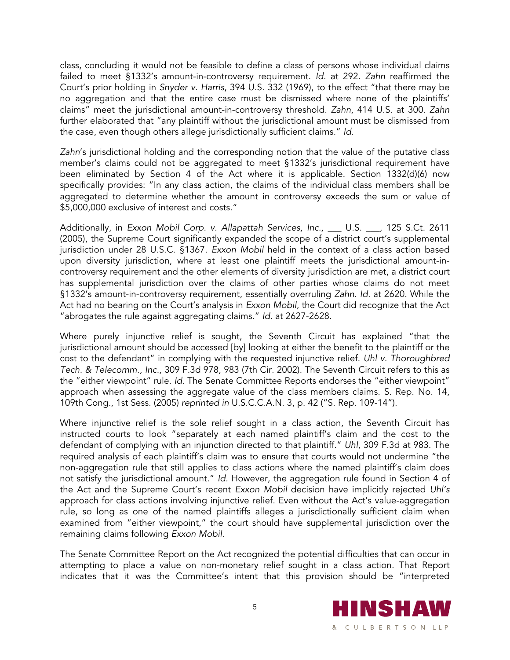class, concluding it would not be feasible to define a class of persons whose individual claims failed to meet §1332's amount-in-controversy requirement. *Id.* at 292. *Zahn* reaffirmed the Court's prior holding in *Snyder v. Harris*, 394 U.S. 332 (1969), to the effect "that there may be no aggregation and that the entire case must be dismissed where none of the plaintiffs' claims" meet the jurisdictional amount-in-controversy threshold. *Zahn*, 414 U.S. at 300. *Zahn* further elaborated that "any plaintiff without the jurisdictional amount must be dismissed from the case, even though others allege jurisdictionally sufficient claims." *Id.*

*Zahn*'s jurisdictional holding and the corresponding notion that the value of the putative class member's claims could not be aggregated to meet §1332's jurisdictional requirement have been eliminated by Section 4 of the Act where it is applicable. Section 1332(d)(6) now specifically provides: "In any class action, the claims of the individual class members shall be aggregated to determine whether the amount in controversy exceeds the sum or value of \$5,000,000 exclusive of interest and costs."

Additionally, in *Exxon Mobil Corp. v. Allapattah Services, Inc., \_\_ U.S. \_\_, 125 S.Ct. 2611* (2005), the Supreme Court significantly expanded the scope of a district court's supplemental jurisdiction under 28 U.S.C. §1367. *Exxon Mobil* held in the context of a class action based upon diversity jurisdiction, where at least one plaintiff meets the jurisdictional amount-incontroversy requirement and the other elements of diversity jurisdiction are met, a district court has supplemental jurisdiction over the claims of other parties whose claims do not meet §1332's amount-in-controversy requirement, essentially overruling *Zahn*. *Id.* at 2620. While the Act had no bearing on the Court's analysis in *Exxon Mobil*, the Court did recognize that the Act "abrogates the rule against aggregating claims." *Id.* at 2627-2628.

Where purely injunctive relief is sought, the Seventh Circuit has explained "that the jurisdictional amount should be accessed [by] looking at either the benefit to the plaintiff or the cost to the defendant" in complying with the requested injunctive relief. *Uhl v. Thoroughbred Tech. & Telecomm., Inc.,* 309 F.3d 978, 983 (7th Cir. 2002). The Seventh Circuit refers to this as the "either viewpoint" rule. *Id.* The Senate Committee Reports endorses the "either viewpoint" approach when assessing the aggregate value of the class members claims. S. Rep. No. 14, 109th Cong., 1st Sess. (2005) *reprinted in* U.S.C.C.A.N. 3, p. 42 ("S. Rep. 109-14").

Where injunctive relief is the sole relief sought in a class action, the Seventh Circuit has instructed courts to look "separately at each named plaintiff's claim and the cost to the defendant of complying with an injunction directed to that plaintiff." *Uhl*, 309 F.3d at 983. The required analysis of each plaintiff's claim was to ensure that courts would not undermine "the non-aggregation rule that still applies to class actions where the named plaintiff's claim does not satisfy the jurisdictional amount." *Id.* However, the aggregation rule found in Section 4 of the Act and the Supreme Court's recent *Exxon Mobil* decision have implicitly rejected *Uhl's*  approach for class actions involving injunctive relief. Even without the Act's value-aggregation rule, so long as one of the named plaintiffs alleges a jurisdictionally sufficient claim when examined from "either viewpoint," the court should have supplemental jurisdiction over the remaining claims following *Exxon Mobil*.

The Senate Committee Report on the Act recognized the potential difficulties that can occur in attempting to place a value on non-monetary relief sought in a class action. That Report indicates that it was the Committee's intent that this provision should be "interpreted

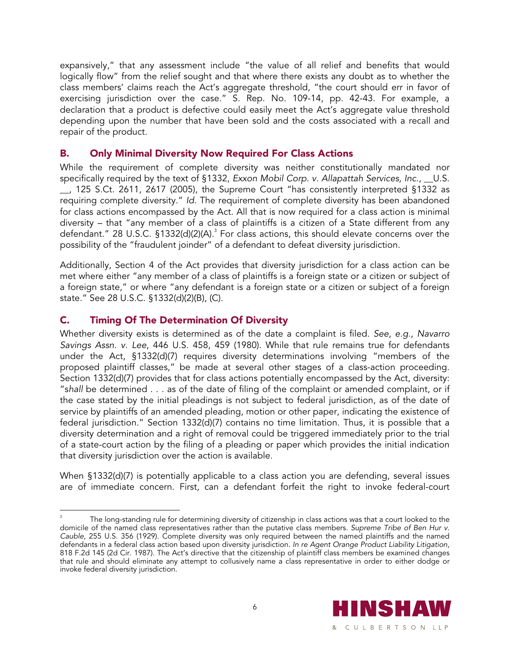expansively," that any assessment include "the value of all relief and benefits that would logically flow" from the relief sought and that where there exists any doubt as to whether the class members' claims reach the Act's aggregate threshold, "the court should err in favor of exercising jurisdiction over the case." S. Rep. No. 109-14, pp. 42-43. For example, a declaration that a product is defective could easily meet the Act's aggregate value threshold depending upon the number that have been sold and the costs associated with a recall and repair of the product.

#### B. Only Minimal Diversity Now Required For Class Actions

While the requirement of complete diversity was neither constitutionally mandated nor specifically required by the text of §1332, *Exxon Mobil Corp. v. Allapattah Services, Inc*., \_\_U.S. \_\_, 125 S.Ct. 2611, 2617 (2005), the Supreme Court "has consistently interpreted §1332 as requiring complete diversity." *Id.* The requirement of complete diversity has been abandoned for class actions encompassed by the Act. All that is now required for a class action is minimal diversity – that "any member of a class of plaintiffs is a citizen of a State different from any defendant." 28 U.S.C. §1332(d)(2)(A).<sup>3</sup> For class actions, this should elevate concerns over the possibility of the "fraudulent joinder" of a defendant to defeat diversity jurisdiction.

Additionally, Section 4 of the Act provides that diversity jurisdiction for a class action can be met where either "any member of a class of plaintiffs is a foreign state or a citizen or subject of a foreign state," or where "any defendant is a foreign state or a citizen or subject of a foreign state." See 28 U.S.C. §1332(d)(2)(B), (C).

#### C. Timing Of The Determination Of Diversity

Whether diversity exists is determined as of the date a complaint is filed. *See, e.g., Navarro Savings Assn. v. Lee*, 446 U.S. 458, 459 (1980). While that rule remains true for defendants under the Act, §1332(d)(7) requires diversity determinations involving "members of the proposed plaintiff classes," be made at several other stages of a class-action proceeding. Section 1332(d)(7) provides that for class actions potentially encompassed by the Act, diversity: "s*hall* be determined . . . as of the date of filing of the complaint or amended complaint, or if the case stated by the initial pleadings is not subject to federal jurisdiction, as of the date of service by plaintiffs of an amended pleading, motion or other paper, indicating the existence of federal jurisdiction." Section 1332(d)(7) contains no time limitation. Thus, it is possible that a diversity determination and a right of removal could be triggered immediately prior to the trial of a state-court action by the filing of a pleading or paper which provides the initial indication that diversity jurisdiction over the action is available.

When §1332(d)(7) is potentially applicable to a class action you are defending, several issues are of immediate concern. First, can a defendant forfeit the right to invoke federal-court

 $\overline{a}$ 3 The long-standing rule for determining diversity of citizenship in class actions was that a court looked to the domicile of the named class representatives rather than the putative class members. *Supreme Tribe of Ben Hur v. Cauble*, 255 U.S. 356 (1929). Complete diversity was only required between the named plaintiffs and the named defendants in a federal class action based upon diversity jurisdiction. *In re Agent Orange Product Liability Litigation*, 818 F.2d 145 (2d Cir. 1987). The Act's directive that the citizenship of plaintiff class members be examined changes that rule and should eliminate any attempt to collusively name a class representative in order to either dodge or invoke federal diversity jurisdiction.

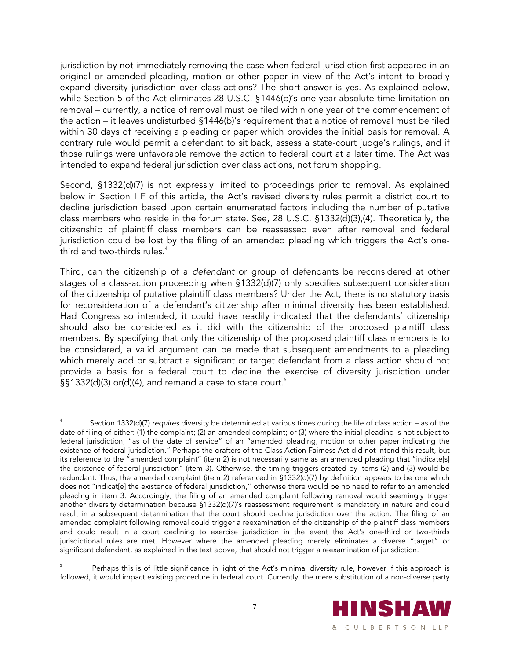jurisdiction by not immediately removing the case when federal jurisdiction first appeared in an original or amended pleading, motion or other paper in view of the Act's intent to broadly expand diversity jurisdiction over class actions? The short answer is yes. As explained below, while Section 5 of the Act eliminates 28 U.S.C. §1446(b)'s one year absolute time limitation on removal – currently, a notice of removal must be filed within one year of the commencement of the action – it leaves undisturbed §1446(b)'s requirement that a notice of removal must be filed within 30 days of receiving a pleading or paper which provides the initial basis for removal. A contrary rule would permit a defendant to sit back, assess a state-court judge's rulings, and if those rulings were unfavorable remove the action to federal court at a later time. The Act was intended to expand federal jurisdiction over class actions, not forum shopping.

Second, §1332(d)(7) is not expressly limited to proceedings prior to removal. As explained below in Section I F of this article, the Act's revised diversity rules permit a district court to decline jurisdiction based upon certain enumerated factors including the number of putative class members who reside in the forum state. See, 28 U.S.C. §1332(d)(3),(4). Theoretically, the citizenship of plaintiff class members can be reassessed even after removal and federal jurisdiction could be lost by the filing of an amended pleading which triggers the Act's onethird and two-thirds rules. $4$ 

Third, can the citizenship of a *defendant* or group of defendants be reconsidered at other stages of a class-action proceeding when §1332(d)(7) only specifies subsequent consideration of the citizenship of putative plaintiff class members? Under the Act, there is no statutory basis for reconsideration of a defendant's citizenship after minimal diversity has been established. Had Congress so intended, it could have readily indicated that the defendants' citizenship should also be considered as it did with the citizenship of the proposed plaintiff class members. By specifying that only the citizenship of the proposed plaintiff class members is to be considered, a valid argument can be made that subsequent amendments to a pleading which merely add or subtract a significant or target defendant from a class action should not provide a basis for a federal court to decline the exercise of diversity jurisdiction under §§1332(d)(3) or(d)(4), and remand a case to state court.<sup>5</sup>

<sup>5</sup> Perhaps this is of little significance in light of the Act's minimal diversity rule, however if this approach is followed, it would impact existing procedure in federal court. Currently, the mere substitution of a non-diverse party



 $\overline{a}$ 4 Section 1332(d)(7) *requires* diversity be determined at various times during the life of class action – as of the date of filing of either: (1) the complaint; (2) an amended complaint; or (3) where the initial pleading is not subject to federal jurisdiction, "as of the date of service" of an "amended pleading, motion or other paper indicating the existence of federal jurisdiction." Perhaps the drafters of the Class Action Fairness Act did not intend this result, but its reference to the "amended complaint" (item 2) is not necessarily same as an amended pleading that "indicate[s] the existence of federal jurisdiction" (item 3). Otherwise, the timing triggers created by items (2) and (3) would be redundant. Thus, the amended complaint (item 2) referenced in §1332(d)(7) by definition appears to be one which does not "indicat[e] the existence of federal jurisdiction," otherwise there would be no need to refer to an amended pleading in item 3. Accordingly, the filing of an amended complaint following removal would seemingly trigger another diversity determination because §1332(d)(7)'s reassessment requirement is mandatory in nature and could result in a subsequent determination that the court should decline jurisdiction over the action. The filing of an amended complaint following removal could trigger a reexamination of the citizenship of the plaintiff class members and could result in a court declining to exercise jurisdiction in the event the Act's one-third or two-thirds jurisdictional rules are met. However where the amended pleading merely eliminates a diverse "target" or significant defendant, as explained in the text above, that should not trigger a reexamination of jurisdiction.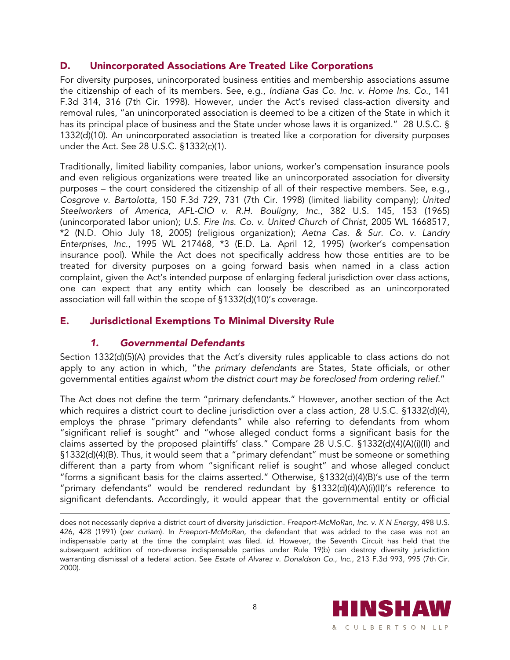#### D. Unincorporated Associations Are Treated Like Corporations

For diversity purposes, unincorporated business entities and membership associations assume the citizenship of each of its members. See, e.g., *Indiana Gas Co. Inc. v. Home Ins. Co.,* 141 F.3d 314, 316 (7th Cir. 1998). However, under the Act's revised class-action diversity and removal rules, "an unincorporated association is deemed to be a citizen of the State in which it has its principal place of business and the State under whose laws it is organized." 28 U.S.C. § 1332(d)(10). An unincorporated association is treated like a corporation for diversity purposes under the Act. See 28 U.S.C. §1332(c)(1).

Traditionally, limited liability companies, labor unions, worker's compensation insurance pools and even religious organizations were treated like an unincorporated association for diversity purposes – the court considered the citizenship of all of their respective members. See, e.g., *Cosgrove v. Bartolotta*, 150 F.3d 729, 731 (7th Cir. 1998) (limited liability company); *United Steelworkers of America*, *AFL-CIO v. R.H. Bouligny, Inc.*, 382 U.S. 145, 153 (1965) (unincorporated labor union); *U.S. Fire Ins. Co. v. United Church of Christ*, 2005 WL 1668517, \*2 (N.D. Ohio July 18, 2005) (religious organization); *Aetna Cas. & Sur. Co. v. Landry Enterprises, Inc.*, 1995 WL 217468, \*3 (E.D. La. April 12, 1995) (worker's compensation insurance pool). While the Act does not specifically address how those entities are to be treated for diversity purposes on a going forward basis when named in a class action complaint, given the Act's intended purpose of enlarging federal jurisdiction over class actions, one can expect that any entity which can loosely be described as an unincorporated association will fall within the scope of §1332(d)(10)'s coverage.

#### E. Jurisdictional Exemptions To Minimal Diversity Rule

#### *1. Governmental Defendants*

 $\overline{a}$ 

Section 1332(d)(5)(A) provides that the Act's diversity rules applicable to class actions do not apply to any action in which, "*the primary defendants* are States, State officials, or other governmental entities *against whom the district court may be foreclosed from ordering relief.*"

The Act does not define the term "primary defendants." However, another section of the Act which requires a district court to decline jurisdiction over a class action, 28 U.S.C. §1332(d)(4), employs the phrase "primary defendants" while also referring to defendants from whom "significant relief is sought" and "whose alleged conduct forms a significant basis for the claims asserted by the proposed plaintiffs' class." Compare 28 U.S.C. §1332(d)(4)(A)(i)(II) and §1332(d)(4)(B). Thus, it would seem that a "primary defendant" must be someone or something different than a party from whom "significant relief is sought" and whose alleged conduct "forms a significant basis for the claims asserted." Otherwise, §1332(d)(4)(B)'s use of the term "primary defendants" would be rendered redundant by §1332(d)(4)(A)(i)(II)'s reference to significant defendants. Accordingly, it would appear that the governmental entity or official

does not necessarily deprive a district court of diversity jurisdiction*. Freeport-McMoRan, Inc. v. K N Energy*, 498 U.S. 426, 428 (1991) (*per curiam*). In *Freeport-McMoRan*, the defendant that was added to the case was not an indispensable party at the time the complaint was filed. *Id.* However, the Seventh Circuit has held that the subsequent addition of non-diverse indispensable parties under Rule 19(b) can destroy diversity jurisdiction warranting dismissal of a federal action. See *Estate of Alvarez v. Donaldson Co., Inc*., 213 F.3d 993, 995 (7th Cir. 2000).

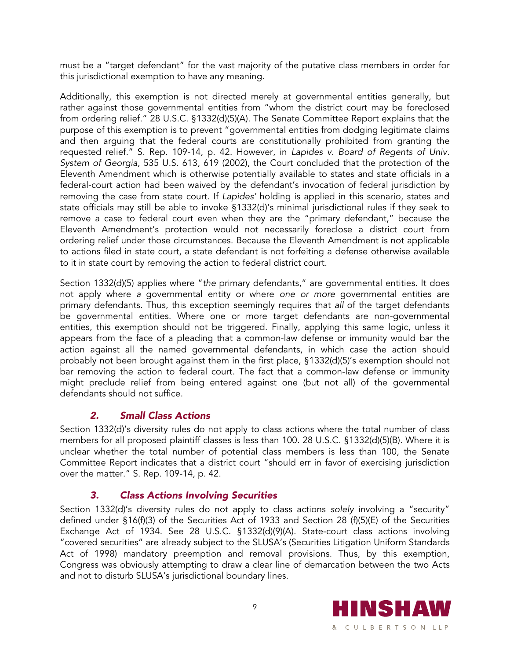must be a "target defendant" for the vast majority of the putative class members in order for this jurisdictional exemption to have any meaning.

Additionally, this exemption is not directed merely at governmental entities generally, but rather against those governmental entities from "whom the district court may be foreclosed from ordering relief." 28 U.S.C. §1332(d)(5)(A). The Senate Committee Report explains that the purpose of this exemption is to prevent "governmental entities from dodging legitimate claims and then arguing that the federal courts are constitutionally prohibited from granting the requested relief." S. Rep. 109-14, p. 42. However, in *Lapides v. Board of Regents of Univ. System of Georgia*, 535 U.S. 613, 619 (2002), the Court concluded that the protection of the Eleventh Amendment which is otherwise potentially available to states and state officials in a federal-court action had been waived by the defendant's invocation of federal jurisdiction by removing the case from state court. If *Lapides'* holding is applied in this scenario, states and state officials may still be able to invoke §1332(d)'s minimal jurisdictional rules if they seek to remove a case to federal court even when they are the "primary defendant," because the Eleventh Amendment's protection would not necessarily foreclose a district court from ordering relief under those circumstances. Because the Eleventh Amendment is not applicable to actions filed in state court, a state defendant is not forfeiting a defense otherwise available to it in state court by removing the action to federal district court.

Section 1332(d)(5) applies where "*the* primary defendants," are governmental entities. It does not apply where *a* governmental entity or where *one or more* governmental entities are primary defendants. Thus, this exception seemingly requires that *all* of the target defendants be governmental entities. Where one or more target defendants are non-governmental entities, this exemption should not be triggered. Finally, applying this same logic, unless it appears from the face of a pleading that a common-law defense or immunity would bar the action against all the named governmental defendants, in which case the action should probably not been brought against them in the first place, §1332(d)(5)'s exemption should not bar removing the action to federal court. The fact that a common-law defense or immunity might preclude relief from being entered against one (but not all) of the governmental defendants should not suffice.

#### *2. Small Class Actions*

Section 1332(d)'s diversity rules do not apply to class actions where the total number of class members for all proposed plaintiff classes is less than 100. 28 U.S.C. §1332(d)(5)(B). Where it is unclear whether the total number of potential class members is less than 100, the Senate Committee Report indicates that a district court "should err in favor of exercising jurisdiction over the matter." S. Rep. 109-14, p. 42.

#### *3. Class Actions Involving Securities*

Section 1332(d)'s diversity rules do not apply to class actions *solely* involving a "security" defined under §16(f)(3) of the Securities Act of 1933 and Section 28 (f)(5)(E) of the Securities Exchange Act of 1934. See 28 U.S.C. §1332(d)(9)(A). State-court class actions involving "covered securities" are already subject to the SLUSA's (Securities Litigation Uniform Standards Act of 1998) mandatory preemption and removal provisions. Thus, by this exemption, Congress was obviously attempting to draw a clear line of demarcation between the two Acts and not to disturb SLUSA's jurisdictional boundary lines.

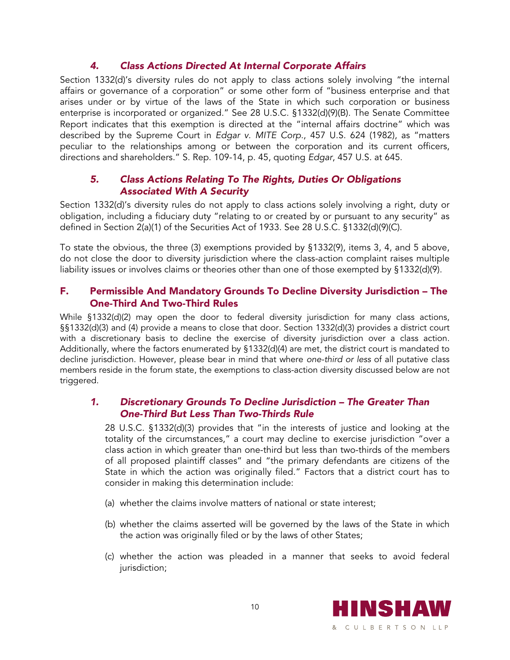#### *4. Class Actions Directed At Internal Corporate Affairs*

Section 1332(d)'s diversity rules do not apply to class actions solely involving "the internal affairs or governance of a corporation" or some other form of "business enterprise and that arises under or by virtue of the laws of the State in which such corporation or business enterprise is incorporated or organized." See 28 U.S.C. §1332(d)(9)(B). The Senate Committee Report indicates that this exemption is directed at the "internal affairs doctrine" which was described by the Supreme Court in *Edgar v. MITE Corp.*, 457 U.S. 624 (1982), as "matters peculiar to the relationships among or between the corporation and its current officers, directions and shareholders." S. Rep. 109-14, p. 45, quoting *Edgar*, 457 U.S. at 645.

#### *5. Class Actions Relating To The Rights, Duties Or Obligations Associated With A Security*

Section 1332(d)'s diversity rules do not apply to class actions solely involving a right, duty or obligation, including a fiduciary duty "relating to or created by or pursuant to any security" as defined in Section 2(a)(1) of the Securities Act of 1933. See 28 U.S.C. §1332(d)(9)(C).

To state the obvious, the three (3) exemptions provided by §1332(9), items 3, 4, and 5 above, do not close the door to diversity jurisdiction where the class-action complaint raises multiple liability issues or involves claims or theories other than one of those exempted by §1332(d)(9).

#### F. Permissible And Mandatory Grounds To Decline Diversity Jurisdiction – The One-Third And Two-Third Rules

While §1332(d)(2) may open the door to federal diversity jurisdiction for many class actions, §§1332(d)(3) and (4) provide a means to close that door. Section 1332(d)(3) provides a district court with a discretionary basis to decline the exercise of diversity jurisdiction over a class action. Additionally, where the factors enumerated by §1332(d)(4) are met, the district court is mandated to decline jurisdiction. However, please bear in mind that where *one-third or less* of all putative class members reside in the forum state, the exemptions to class-action diversity discussed below are not triggered.

#### *1. Discretionary Grounds To Decline Jurisdiction – The Greater Than One-Third But Less Than Two-Thirds Rule*

28 U.S.C. §1332(d)(3) provides that "in the interests of justice and looking at the totality of the circumstances," a court may decline to exercise jurisdiction "over a class action in which greater than one-third but less than two-thirds of the members of all proposed plaintiff classes" and "the primary defendants are citizens of the State in which the action was originally filed." Factors that a district court has to consider in making this determination include:

- (a) whether the claims involve matters of national or state interest;
- (b) whether the claims asserted will be governed by the laws of the State in which the action was originally filed or by the laws of other States;
- (c) whether the action was pleaded in a manner that seeks to avoid federal jurisdiction;

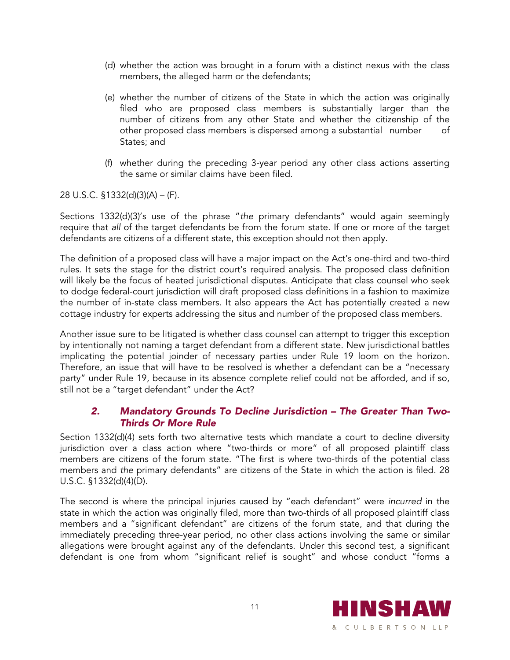- (d) whether the action was brought in a forum with a distinct nexus with the class members, the alleged harm or the defendants;
- (e) whether the number of citizens of the State in which the action was originally filed who are proposed class members is substantially larger than the number of citizens from any other State and whether the citizenship of the other proposed class members is dispersed among a substantial number of States; and
- (f) whether during the preceding 3-year period any other class actions asserting the same or similar claims have been filed.

28 U.S.C. §1332(d)(3)(A) – (F).

Sections 1332(d)(3)'s use of the phrase "*the* primary defendants" would again seemingly require that *all* of the target defendants be from the forum state. If one or more of the target defendants are citizens of a different state, this exception should not then apply.

The definition of a proposed class will have a major impact on the Act's one-third and two-third rules. It sets the stage for the district court's required analysis. The proposed class definition will likely be the focus of heated jurisdictional disputes. Anticipate that class counsel who seek to dodge federal-court jurisdiction will draft proposed class definitions in a fashion to maximize the number of in-state class members. It also appears the Act has potentially created a new cottage industry for experts addressing the situs and number of the proposed class members.

Another issue sure to be litigated is whether class counsel can attempt to trigger this exception by intentionally not naming a target defendant from a different state. New jurisdictional battles implicating the potential joinder of necessary parties under Rule 19 loom on the horizon. Therefore, an issue that will have to be resolved is whether a defendant can be a "necessary party" under Rule 19, because in its absence complete relief could not be afforded, and if so, still not be a "target defendant" under the Act?

#### *2. Mandatory Grounds To Decline Jurisdiction – The Greater Than Two-Thirds Or More Rule*

Section 1332(d)(4) sets forth two alternative tests which mandate a court to decline diversity jurisdiction over a class action where "two-thirds or more" of all proposed plaintiff class members are citizens of the forum state. "The first is where two-thirds of the potential class members and *the* primary defendants" are citizens of the State in which the action is filed. 28 U.S.C. §1332(d)(4)(D).

The second is where the principal injuries caused by "each defendant" were *incurred* in the state in which the action was originally filed, more than two-thirds of all proposed plaintiff class members and a "significant defendant" are citizens of the forum state, and that during the immediately preceding three-year period, no other class actions involving the same or similar allegations were brought against any of the defendants. Under this second test, a significant defendant is one from whom "significant relief is sought" and whose conduct "forms a

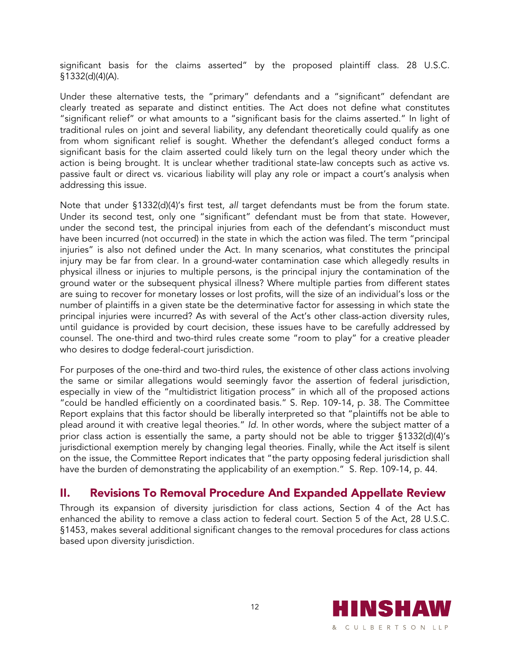significant basis for the claims asserted" by the proposed plaintiff class. 28 U.S.C. §1332(d)(4)(A).

Under these alternative tests, the "primary" defendants and a "significant" defendant are clearly treated as separate and distinct entities. The Act does not define what constitutes "significant relief" or what amounts to a "significant basis for the claims asserted." In light of traditional rules on joint and several liability, any defendant theoretically could qualify as one from whom significant relief is sought. Whether the defendant's alleged conduct forms a significant basis for the claim asserted could likely turn on the legal theory under which the action is being brought. It is unclear whether traditional state-law concepts such as active vs. passive fault or direct vs. vicarious liability will play any role or impact a court's analysis when addressing this issue.

Note that under §1332(d)(4)'s first test, *all* target defendants must be from the forum state. Under its second test, only one "significant" defendant must be from that state. However, under the second test, the principal injuries from each of the defendant's misconduct must have been incurred (not occurred) in the state in which the action was filed. The term "principal injuries" is also not defined under the Act. In many scenarios, what constitutes the principal injury may be far from clear. In a ground-water contamination case which allegedly results in physical illness or injuries to multiple persons, is the principal injury the contamination of the ground water or the subsequent physical illness? Where multiple parties from different states are suing to recover for monetary losses or lost profits, will the size of an individual's loss or the number of plaintiffs in a given state be the determinative factor for assessing in which state the principal injuries were incurred? As with several of the Act's other class-action diversity rules, until guidance is provided by court decision, these issues have to be carefully addressed by counsel. The one-third and two-third rules create some "room to play" for a creative pleader who desires to dodge federal-court jurisdiction.

For purposes of the one-third and two-third rules, the existence of other class actions involving the same or similar allegations would seemingly favor the assertion of federal jurisdiction, especially in view of the "multidistrict litigation process" in which all of the proposed actions "could be handled efficiently on a coordinated basis." S. Rep. 109-14, p. 38. The Committee Report explains that this factor should be liberally interpreted so that "plaintiffs not be able to plead around it with creative legal theories." *Id.* In other words, where the subject matter of a prior class action is essentially the same, a party should not be able to trigger §1332(d)(4)'s jurisdictional exemption merely by changing legal theories. Finally, while the Act itself is silent on the issue, the Committee Report indicates that "the party opposing federal jurisdiction shall have the burden of demonstrating the applicability of an exemption." S. Rep. 109-14, p. 44.

## II. Revisions To Removal Procedure And Expanded Appellate Review

Through its expansion of diversity jurisdiction for class actions, Section 4 of the Act has enhanced the ability to remove a class action to federal court. Section 5 of the Act, 28 U.S.C. §1453, makes several additional significant changes to the removal procedures for class actions based upon diversity jurisdiction.

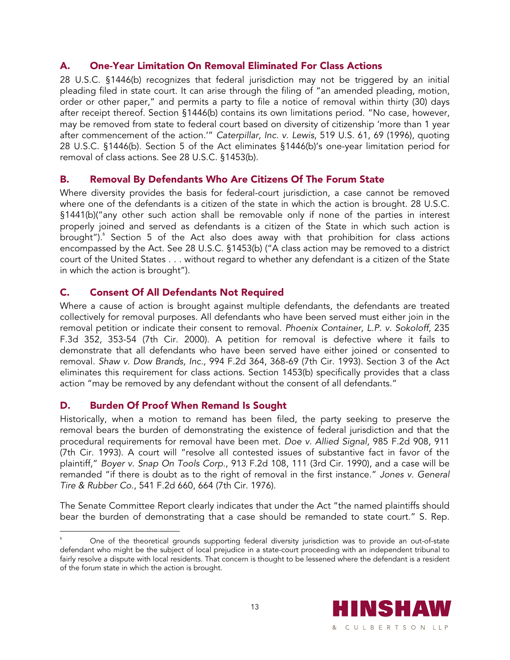#### A. One-Year Limitation On Removal Eliminated For Class Actions

28 U.S.C. §1446(b) recognizes that federal jurisdiction may not be triggered by an initial pleading filed in state court. It can arise through the filing of "an amended pleading, motion, order or other paper," and permits a party to file a notice of removal within thirty (30) days after receipt thereof. Section §1446(b) contains its own limitations period. "No case, however, may be removed from state to federal court based on diversity of citizenship 'more than 1 year after commencement of the action.'" *Caterpillar, Inc. v. Lewis*, 519 U.S. 61, 69 (1996), quoting 28 U.S.C. §1446(b). Section 5 of the Act eliminates §1446(b)'s one-year limitation period for removal of class actions. See 28 U.S.C. §1453(b).

#### B. Removal By Defendants Who Are Citizens Of The Forum State

Where diversity provides the basis for federal-court jurisdiction, a case cannot be removed where one of the defendants is a citizen of the state in which the action is brought. 28 U.S.C. §1441(b)("any other such action shall be removable only if none of the parties in interest properly joined and served as defendants is a citizen of the State in which such action is brought").<sup>6</sup> Section 5 of the Act also does away with that prohibition for class actions encompassed by the Act. See 28 U.S.C. §1453(b) ("A class action may be removed to a district court of the United States . . . without regard to whether any defendant is a citizen of the State in which the action is brought").

#### C. Consent Of All Defendants Not Required

Where a cause of action is brought against multiple defendants, the defendants are treated collectively for removal purposes. All defendants who have been served must either join in the removal petition or indicate their consent to removal. *Phoenix Container, L.P. v. Sokoloff*, 235 F.3d 352, 353-54 (7th Cir. 2000). A petition for removal is defective where it fails to demonstrate that all defendants who have been served have either joined or consented to removal. *Shaw v. Dow Brands, Inc.,* 994 F.2d 364, 368-69 (7th Cir. 1993). Section 3 of the Act eliminates this requirement for class actions. Section 1453(b) specifically provides that a class action "may be removed by any defendant without the consent of all defendants."

#### D. Burden Of Proof When Remand Is Sought

Historically, when a motion to remand has been filed, the party seeking to preserve the removal bears the burden of demonstrating the existence of federal jurisdiction and that the procedural requirements for removal have been met. *Doe v. Allied Signal*, 985 F.2d 908, 911 (7th Cir. 1993). A court will "resolve all contested issues of substantive fact in favor of the plaintiff," *Boyer v. Snap On Tools Corp.*, 913 F.2d 108, 111 (3rd Cir. 1990), and a case will be remanded "if there is doubt as to the right of removal in the first instance." *Jones v. General Tire & Rubber Co*., 541 F.2d 660, 664 (7th Cir. 1976).

The Senate Committee Report clearly indicates that under the Act "the named plaintiffs should bear the burden of demonstrating that a case should be remanded to state court." S. Rep.

 $\overline{a}$ 6 One of the theoretical grounds supporting federal diversity jurisdiction was to provide an out-of-state defendant who might be the subject of local prejudice in a state-court proceeding with an independent tribunal to fairly resolve a dispute with local residents. That concern is thought to be lessened where the defendant is a resident of the forum state in which the action is brought.

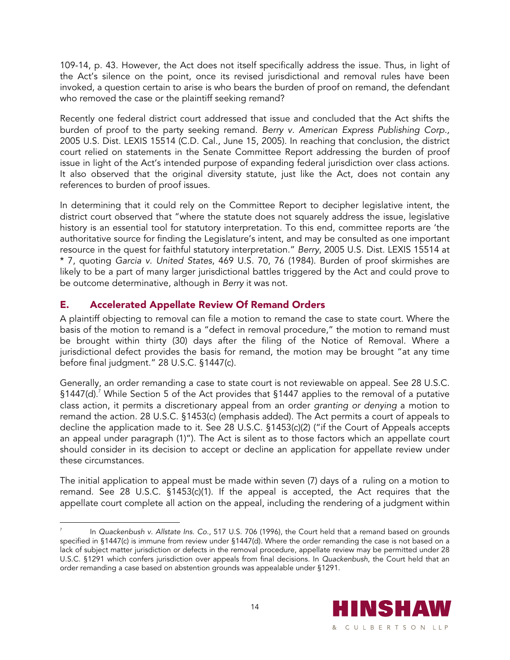109-14, p. 43. However, the Act does not itself specifically address the issue. Thus, in light of the Act's silence on the point, once its revised jurisdictional and removal rules have been invoked, a question certain to arise is who bears the burden of proof on remand, the defendant who removed the case or the plaintiff seeking remand?

Recently one federal district court addressed that issue and concluded that the Act shifts the burden of proof to the party seeking remand. *Berry v. American Express Publishing Corp.,* 2005 U.S. Dist. LEXIS 15514 (C.D. Cal., June 15, 2005). In reaching that conclusion, the district court relied on statements in the Senate Committee Report addressing the burden of proof issue in light of the Act's intended purpose of expanding federal jurisdiction over class actions. It also observed that the original diversity statute, just like the Act, does not contain any references to burden of proof issues.

In determining that it could rely on the Committee Report to decipher legislative intent, the district court observed that "where the statute does not squarely address the issue, legislative history is an essential tool for statutory interpretation. To this end, committee reports are 'the authoritative source for finding the Legislature's intent, and may be consulted as one important resource in the quest for faithful statutory interpretation." *Berry*, 2005 U.S. Dist. LEXIS 15514 at \* 7, quoting *Garcia v. United States*, 469 U.S. 70, 76 (1984). Burden of proof skirmishes are likely to be a part of many larger jurisdictional battles triggered by the Act and could prove to be outcome determinative, although in *Berry* it was not.

#### E. Accelerated Appellate Review Of Remand Orders

 $\overline{a}$ 

A plaintiff objecting to removal can file a motion to remand the case to state court. Where the basis of the motion to remand is a "defect in removal procedure," the motion to remand must be brought within thirty (30) days after the filing of the Notice of Removal. Where a jurisdictional defect provides the basis for remand, the motion may be brought "at any time before final judgment." 28 U.S.C. §1447(c).

Generally, an order remanding a case to state court is not reviewable on appeal. See 28 U.S.C. §1447(d).<sup>7</sup> While Section 5 of the Act provides that §1447 applies to the removal of a putative class action, it permits a discretionary appeal from an order *granting or denying* a motion to remand the action. 28 U.S.C. §1453(c) (emphasis added). The Act permits a court of appeals to decline the application made to it. See 28 U.S.C. §1453(c)(2) ("if the Court of Appeals accepts an appeal under paragraph (1)"). The Act is silent as to those factors which an appellate court should consider in its decision to accept or decline an application for appellate review under these circumstances.

The initial application to appeal must be made within seven (7) days of a ruling on a motion to remand. See 28 U.S.C. §1453(c)(1). If the appeal is accepted, the Act requires that the appellate court complete all action on the appeal, including the rendering of a judgment within

<sup>7</sup> In *Quackenbush v. Allstate Ins. Co*., 517 U.S. 706 (1996), the Court held that a remand based on grounds specified in §1447(c) is immune from review under §1447(d). Where the order remanding the case is not based on a lack of subject matter jurisdiction or defects in the removal procedure, appellate review may be permitted under 28 U.S.C. §1291 which confers jurisdiction over appeals from final decisions. In *Quackenbush*, the Court held that an order remanding a case based on abstention grounds was appealable under §1291.

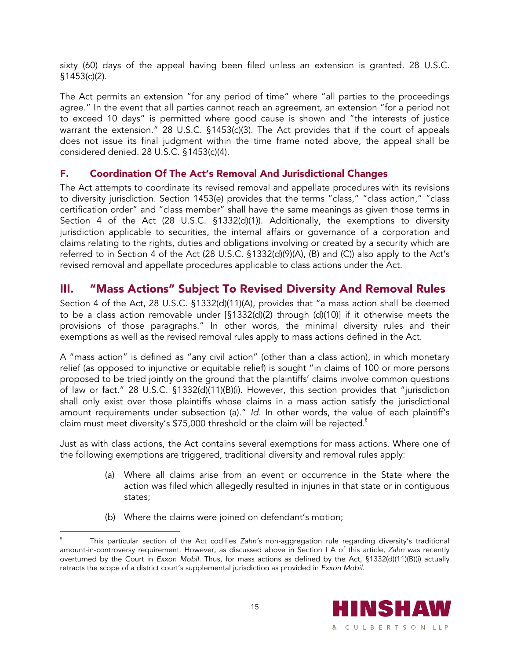sixty (60) days of the appeal having been filed unless an extension is granted. 28 U.S.C. §1453(c)(2).

The Act permits an extension "for any period of time" where "all parties to the proceedings agree." In the event that all parties cannot reach an agreement, an extension "for a period not to exceed 10 days" is permitted where good cause is shown and "the interests of justice warrant the extension." 28 U.S.C. §1453(c)(3). The Act provides that if the court of appeals does not issue its final judgment within the time frame noted above, the appeal shall be considered denied. 28 U.S.C. §1453(c)(4).

#### F. Coordination Of The Act's Removal And Jurisdictional Changes

The Act attempts to coordinate its revised removal and appellate procedures with its revisions to diversity jurisdiction. Section 1453(e) provides that the terms "class," "class action," "class certification order" and "class member" shall have the same meanings as given those terms in Section 4 of the Act (28 U.S.C. §1332(d)(1)). Additionally, the exemptions to diversity jurisdiction applicable to securities, the internal affairs or governance of a corporation and claims relating to the rights, duties and obligations involving or created by a security which are referred to in Section 4 of the Act (28 U.S.C. §1332(d)(9)(A), (B) and (C)) also apply to the Act's revised removal and appellate procedures applicable to class actions under the Act.

## III. "Mass Actions" Subject To Revised Diversity And Removal Rules

Section 4 of the Act, 28 U.S.C. §1332(d)(11)(A), provides that "a mass action shall be deemed to be a class action removable under [§1332(d)(2) through (d)(10)] if it otherwise meets the provisions of those paragraphs." In other words, the minimal diversity rules and their exemptions as well as the revised removal rules apply to mass actions defined in the Act.

A "mass action" is defined as "any civil action" (other than a class action), in which monetary relief (as opposed to injunctive or equitable relief) is sought "in claims of 100 or more persons proposed to be tried jointly on the ground that the plaintiffs' claims involve common questions of law or fact." 28 U.S.C. §1332(d)(11)(B)(i). However, this section provides that "jurisdiction shall only exist over those plaintiffs whose claims in a mass action satisfy the jurisdictional amount requirements under subsection (a)." *Id.* In other words, the value of each plaintiff's claim must meet diversity's  $$75,000$  threshold or the claim will be rejected.<sup>8</sup>

Just as with class actions, the Act contains several exemptions for mass actions. Where one of the following exemptions are triggered, traditional diversity and removal rules apply:

- (a) Where all claims arise from an event or occurrence in the State where the action was filed which allegedly resulted in injuries in that state or in contiguous states;
- (b) Where the claims were joined on defendant's motion;

 $\overline{a}$ 8 This particular section of the Act codifies *Zahn's* non-aggregation rule regarding diversity's traditional amount-in-controversy requirement. However, as discussed above in Section I A of this article, *Zahn* was recently overturned by the Court in *Exxon Mobil.* Thus, for mass actions as defined by the Act, §1332(d)(11)(B)(i) actually retracts the scope of a district court's supplemental jurisdiction as provided in *Exxon Mobil*.

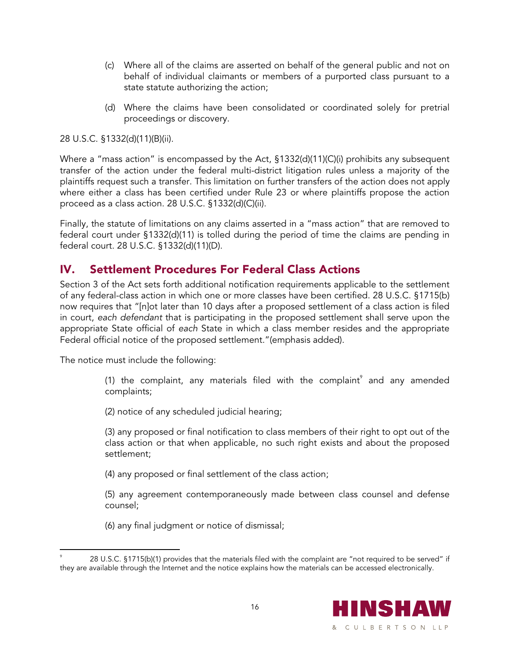- (c) Where all of the claims are asserted on behalf of the general public and not on behalf of individual claimants or members of a purported class pursuant to a state statute authorizing the action;
- (d) Where the claims have been consolidated or coordinated solely for pretrial proceedings or discovery.

#### 28 U.S.C. §1332(d)(11)(B)(ii).

Where a "mass action" is encompassed by the Act, §1332(d)(11)(C)(i) prohibits any subsequent transfer of the action under the federal multi-district litigation rules unless a majority of the plaintiffs request such a transfer. This limitation on further transfers of the action does not apply where either a class has been certified under Rule 23 or where plaintiffs propose the action proceed as a class action. 28 U.S.C. §1332(d)(C)(ii).

Finally, the statute of limitations on any claims asserted in a "mass action" that are removed to federal court under §1332(d)(11) is tolled during the period of time the claims are pending in federal court. 28 U.S.C. §1332(d)(11)(D).

## IV. Settlement Procedures For Federal Class Actions

Section 3 of the Act sets forth additional notification requirements applicable to the settlement of any federal-class action in which one or more classes have been certified. 28 U.S.C. §1715(b) now requires that "[n]ot later than 10 days after a proposed settlement of a class action is filed in court, *each defendant* that is participating in the proposed settlement shall serve upon the appropriate State official of *each* State in which a class member resides and the appropriate Federal official notice of the proposed settlement."(emphasis added).

The notice must include the following:

 $\overline{a}$ 

- (1) the complaint, any materials filed with the complaint $^{\circ}$  and any amended complaints;
- (2) notice of any scheduled judicial hearing;

(3) any proposed or final notification to class members of their right to opt out of the class action or that when applicable, no such right exists and about the proposed settlement;

(4) any proposed or final settlement of the class action;

(5) any agreement contemporaneously made between class counsel and defense counsel;

(6) any final judgment or notice of dismissal;

<sup>9</sup> 28 U.S.C. §1715(b)(1) provides that the materials filed with the complaint are "not required to be served" if they are available through the Internet and the notice explains how the materials can be accessed electronically.

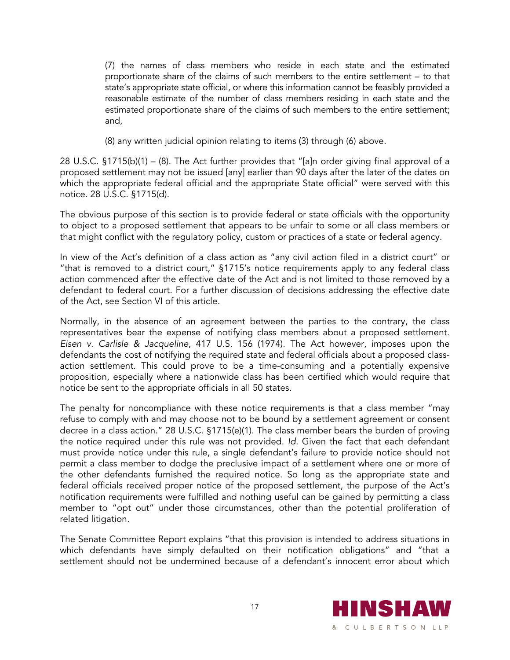(7) the names of class members who reside in each state and the estimated proportionate share of the claims of such members to the entire settlement – to that state's appropriate state official, or where this information cannot be feasibly provided a reasonable estimate of the number of class members residing in each state and the estimated proportionate share of the claims of such members to the entire settlement; and,

(8) any written judicial opinion relating to items (3) through (6) above.

28 U.S.C. §1715(b)(1) – (8). The Act further provides that "[a]n order giving final approval of a proposed settlement may not be issued [any] earlier than 90 days after the later of the dates on which the appropriate federal official and the appropriate State official" were served with this notice. 28 U.S.C. §1715(d).

The obvious purpose of this section is to provide federal or state officials with the opportunity to object to a proposed settlement that appears to be unfair to some or all class members or that might conflict with the regulatory policy, custom or practices of a state or federal agency.

In view of the Act's definition of a class action as "any civil action filed in a district court" or "that is removed to a district court," §1715's notice requirements apply to any federal class action commenced after the effective date of the Act and is not limited to those removed by a defendant to federal court. For a further discussion of decisions addressing the effective date of the Act, see Section VI of this article.

Normally, in the absence of an agreement between the parties to the contrary, the class representatives bear the expense of notifying class members about a proposed settlement. *Eisen v. Carlisle & Jacqueline*, 417 U.S. 156 (1974). The Act however, imposes upon the defendants the cost of notifying the required state and federal officials about a proposed classaction settlement. This could prove to be a time-consuming and a potentially expensive proposition, especially where a nationwide class has been certified which would require that notice be sent to the appropriate officials in all 50 states.

The penalty for noncompliance with these notice requirements is that a class member "may refuse to comply with and may choose not to be bound by a settlement agreement or consent decree in a class action." 28 U.S.C. §1715(e)(1). The class member bears the burden of proving the notice required under this rule was not provided. *Id.* Given the fact that each defendant must provide notice under this rule, a single defendant's failure to provide notice should not permit a class member to dodge the preclusive impact of a settlement where one or more of the other defendants furnished the required notice. So long as the appropriate state and federal officials received proper notice of the proposed settlement, the purpose of the Act's notification requirements were fulfilled and nothing useful can be gained by permitting a class member to "opt out" under those circumstances, other than the potential proliferation of related litigation.

The Senate Committee Report explains "that this provision is intended to address situations in which defendants have simply defaulted on their notification obligations" and "that a settlement should not be undermined because of a defendant's innocent error about which

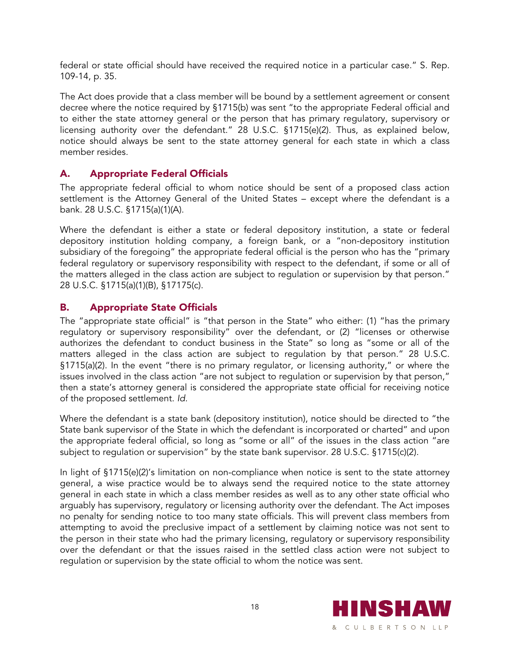federal or state official should have received the required notice in a particular case." S. Rep. 109-14, p. 35.

The Act does provide that a class member will be bound by a settlement agreement or consent decree where the notice required by §1715(b) was sent "to the appropriate Federal official and to either the state attorney general or the person that has primary regulatory, supervisory or licensing authority over the defendant." 28 U.S.C. §1715(e)(2). Thus, as explained below, notice should always be sent to the state attorney general for each state in which a class member resides.

#### A. Appropriate Federal Officials

The appropriate federal official to whom notice should be sent of a proposed class action settlement is the Attorney General of the United States – except where the defendant is a bank. 28 U.S.C. §1715(a)(1)(A).

Where the defendant is either a state or federal depository institution, a state or federal depository institution holding company, a foreign bank, or a "non-depository institution subsidiary of the foregoing" the appropriate federal official is the person who has the "primary federal regulatory or supervisory responsibility with respect to the defendant, if some or all of the matters alleged in the class action are subject to regulation or supervision by that person." 28 U.S.C. §1715(a)(1)(B), §17175(c).

#### B. Appropriate State Officials

The "appropriate state official" is "that person in the State" who either: (1) "has the primary regulatory or supervisory responsibility" over the defendant, or (2) "licenses or otherwise authorizes the defendant to conduct business in the State" so long as "some or all of the matters alleged in the class action are subject to regulation by that person." 28 U.S.C. §1715(a)(2). In the event "there is no primary regulator, or licensing authority," or where the issues involved in the class action "are not subject to regulation or supervision by that person," then a state's attorney general is considered the appropriate state official for receiving notice of the proposed settlement. *Id.*

Where the defendant is a state bank (depository institution), notice should be directed to "the State bank supervisor of the State in which the defendant is incorporated or charted" and upon the appropriate federal official, so long as "some or all" of the issues in the class action "are subject to regulation or supervision" by the state bank supervisor. 28 U.S.C. §1715(c)(2).

In light of §1715(e)(2)'s limitation on non-compliance when notice is sent to the state attorney general, a wise practice would be to always send the required notice to the state attorney general in each state in which a class member resides as well as to any other state official who arguably has supervisory, regulatory or licensing authority over the defendant. The Act imposes no penalty for sending notice to too many state officials. This will prevent class members from attempting to avoid the preclusive impact of a settlement by claiming notice was not sent to the person in their state who had the primary licensing, regulatory or supervisory responsibility over the defendant or that the issues raised in the settled class action were not subject to regulation or supervision by the state official to whom the notice was sent.

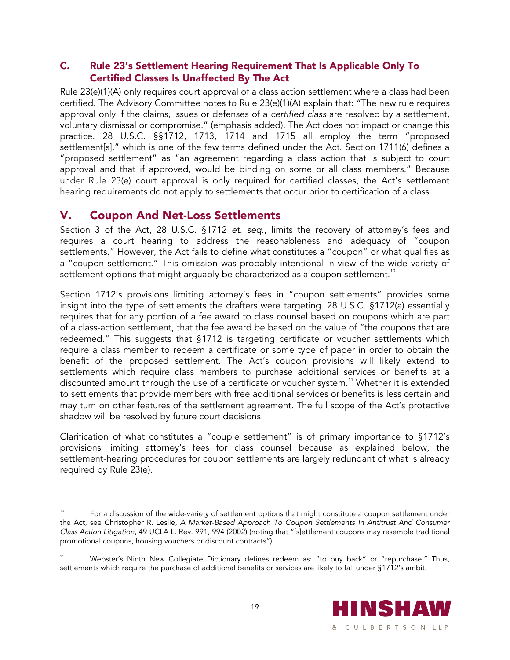#### C. Rule 23's Settlement Hearing Requirement That Is Applicable Only To Certified Classes Is Unaffected By The Act

Rule 23(e)(1)(A) only requires court approval of a class action settlement where a class had been certified. The Advisory Committee notes to Rule 23(e)(1)(A) explain that: "The new rule requires approval only if the claims, issues or defenses of a *certified class* are resolved by a settlement, voluntary dismissal or compromise." (emphasis added). The Act does not impact or change this practice. 28 U.S.C. §§1712, 1713, 1714 and 1715 all employ the term "proposed settlement[s]," which is one of the few terms defined under the Act. Section 1711(6) defines a "proposed settlement" as "an agreement regarding a class action that is subject to court approval and that if approved, would be binding on some or all class members." Because under Rule 23(e) court approval is only required for certified classes, the Act's settlement hearing requirements do not apply to settlements that occur prior to certification of a class.

## V. Coupon And Net-Loss Settlements

 $\overline{a}$ 

Section 3 of the Act, 28 U.S.C. §1712 *et. seq.*, limits the recovery of attorney's fees and requires a court hearing to address the reasonableness and adequacy of "coupon settlements." However, the Act fails to define what constitutes a "coupon" or what qualifies as a "coupon settlement." This omission was probably intentional in view of the wide variety of settlement options that might arguably be characterized as a coupon settlement.<sup>10</sup>

Section 1712's provisions limiting attorney's fees in "coupon settlements" provides some insight into the type of settlements the drafters were targeting. 28 U.S.C. §1712(a) essentially requires that for any portion of a fee award to class counsel based on coupons which are part of a class-action settlement, that the fee award be based on the value of "the coupons that are redeemed." This suggests that §1712 is targeting certificate or voucher settlements which require a class member to redeem a certificate or some type of paper in order to obtain the benefit of the proposed settlement. The Act's coupon provisions will likely extend to settlements which require class members to purchase additional services or benefits at a discounted amount through the use of a certificate or voucher system.<sup>11</sup> Whether it is extended to settlements that provide members with free additional services or benefits is less certain and may turn on other features of the settlement agreement. The full scope of the Act's protective shadow will be resolved by future court decisions.

Clarification of what constitutes a "couple settlement" is of primary importance to §1712's provisions limiting attorney's fees for class counsel because as explained below, the settlement-hearing procedures for coupon settlements are largely redundant of what is already required by Rule 23(e).

Webster's Ninth New Collegiate Dictionary defines redeem as: "to buy back" or "repurchase." Thus, settlements which require the purchase of additional benefits or services are likely to fall under §1712's ambit.



For a discussion of the wide-variety of settlement options that might constitute a coupon settlement under the Act, see Christopher R. Leslie, *A Market-Based Approach To Coupon Settlements In Antitrust And Consumer Class Action Litigation*, 49 UCLA L. Rev. 991, 994 (2002) (noting that "[s]ettlement coupons may resemble traditional promotional coupons, housing vouchers or discount contracts").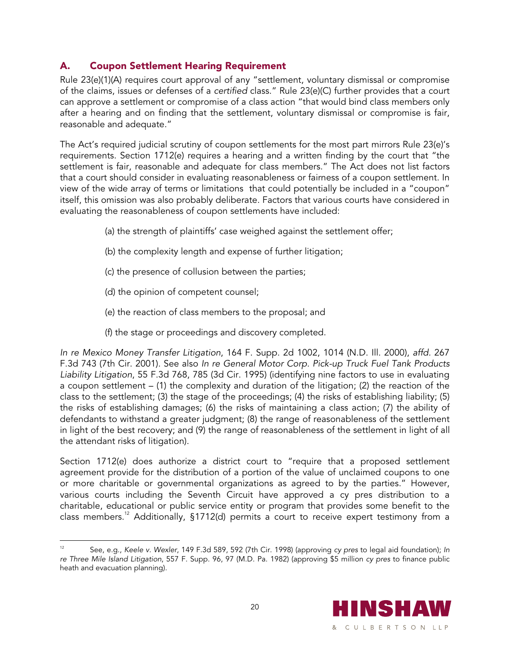#### A. Coupon Settlement Hearing Requirement

Rule 23(e)(1)(A) requires court approval of any "settlement, voluntary dismissal or compromise of the claims, issues or defenses of a *certified* class." Rule 23(e)(C) further provides that a court can approve a settlement or compromise of a class action "that would bind class members only after a hearing and on finding that the settlement, voluntary dismissal or compromise is fair, reasonable and adequate."

The Act's required judicial scrutiny of coupon settlements for the most part mirrors Rule 23(e)'s requirements. Section 1712(e) requires a hearing and a written finding by the court that "the settlement is fair, reasonable and adequate for class members." The Act does not list factors that a court should consider in evaluating reasonableness or fairness of a coupon settlement. In view of the wide array of terms or limitations that could potentially be included in a "coupon" itself, this omission was also probably deliberate. Factors that various courts have considered in evaluating the reasonableness of coupon settlements have included:

- (a) the strength of plaintiffs' case weighed against the settlement offer;
- (b) the complexity length and expense of further litigation;
- (c) the presence of collusion between the parties;
- (d) the opinion of competent counsel;
- (e) the reaction of class members to the proposal; and
- (f) the stage or proceedings and discovery completed.

*In re Mexico Money Transfer Litigation*, 164 F. Supp. 2d 1002, 1014 (N.D. Ill. 2000), *affd.* 267 F.3d 743 (7th Cir. 2001). See also *In re General Motor Corp. Pick-up Truck Fuel Tank Products Liability Litigation*, 55 F.3d 768, 785 (3d Cir. 1995) (identifying nine factors to use in evaluating a coupon settlement – (1) the complexity and duration of the litigation; (2) the reaction of the class to the settlement; (3) the stage of the proceedings; (4) the risks of establishing liability; (5) the risks of establishing damages; (6) the risks of maintaining a class action; (7) the ability of defendants to withstand a greater judgment; (8) the range of reasonableness of the settlement in light of the best recovery; and (9) the range of reasonableness of the settlement in light of all the attendant risks of litigation).

Section 1712(e) does authorize a district court to "require that a proposed settlement agreement provide for the distribution of a portion of the value of unclaimed coupons to one or more charitable or governmental organizations as agreed to by the parties." However, various courts including the Seventh Circuit have approved a cy pres distribution to a charitable, educational or public service entity or program that provides some benefit to the class members.12 Additionally, §1712(d) permits a court to receive expert testimony from a

 $\overline{a}$ 12 See, e.g., *Keele v. Wexler*, 149 F.3d 589, 592 (7th Cir. 1998) (approving *cy pres* to legal aid foundation); *In re Three Mile Island Litigation*, 557 F. Supp. 96, 97 (M.D. Pa. 1982) (approving \$5 million *cy pres* to finance public heath and evacuation planning).

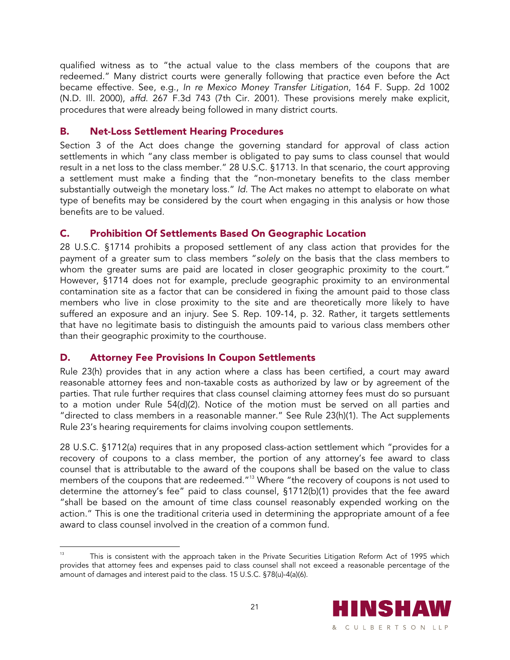qualified witness as to "the actual value to the class members of the coupons that are redeemed." Many district courts were generally following that practice even before the Act became effective. See, e.g., *In re Mexico Money Transfer Litigation*, 164 F. Supp. 2d 1002 (N.D. Ill. 2000), *affd*. 267 F.3d 743 (7th Cir. 2001). These provisions merely make explicit, procedures that were already being followed in many district courts.

#### B. Net-Loss Settlement Hearing Procedures

Section 3 of the Act does change the governing standard for approval of class action settlements in which "any class member is obligated to pay sums to class counsel that would result in a net loss to the class member." 28 U.S.C. §1713. In that scenario, the court approving a settlement must make a finding that the "non-monetary benefits to the class member substantially outweigh the monetary loss." *Id.* The Act makes no attempt to elaborate on what type of benefits may be considered by the court when engaging in this analysis or how those benefits are to be valued.

#### C. Prohibition Of Settlements Based On Geographic Location

28 U.S.C. §1714 prohibits a proposed settlement of any class action that provides for the payment of a greater sum to class members "*solely* on the basis that the class members to whom the greater sums are paid are located in closer geographic proximity to the court." However, §1714 does not for example, preclude geographic proximity to an environmental contamination site as a factor that can be considered in fixing the amount paid to those class members who live in close proximity to the site and are theoretically more likely to have suffered an exposure and an injury. See S. Rep. 109-14, p. 32. Rather, it targets settlements that have no legitimate basis to distinguish the amounts paid to various class members other than their geographic proximity to the courthouse.

#### D. Attorney Fee Provisions In Coupon Settlements

 $\overline{a}$ 

Rule 23(h) provides that in any action where a class has been certified, a court may award reasonable attorney fees and non-taxable costs as authorized by law or by agreement of the parties. That rule further requires that class counsel claiming attorney fees must do so pursuant to a motion under Rule 54(d)(2). Notice of the motion must be served on all parties and "directed to class members in a reasonable manner." See Rule 23(h)(1). The Act supplements Rule 23's hearing requirements for claims involving coupon settlements.

28 U.S.C. §1712(a) requires that in any proposed class-action settlement which "provides for a recovery of coupons to a class member, the portion of any attorney's fee award to class counsel that is attributable to the award of the coupons shall be based on the value to class members of the coupons that are redeemed."<sup>13</sup> Where "the recovery of coupons is not used to determine the attorney's fee" paid to class counsel, §1712(b)(1) provides that the fee award "shall be based on the amount of time class counsel reasonably expended working on the action." This is one the traditional criteria used in determining the appropriate amount of a fee award to class counsel involved in the creation of a common fund.

This is consistent with the approach taken in the Private Securities Litigation Reform Act of 1995 which provides that attorney fees and expenses paid to class counsel shall not exceed a reasonable percentage of the amount of damages and interest paid to the class. 15 U.S.C. §78(u)-4(a)(6).

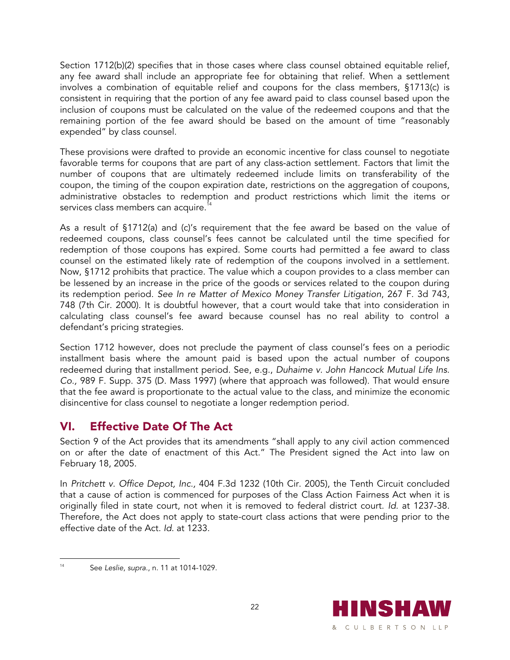Section 1712(b)(2) specifies that in those cases where class counsel obtained equitable relief, any fee award shall include an appropriate fee for obtaining that relief. When a settlement involves a combination of equitable relief and coupons for the class members, §1713(c) is consistent in requiring that the portion of any fee award paid to class counsel based upon the inclusion of coupons must be calculated on the value of the redeemed coupons and that the remaining portion of the fee award should be based on the amount of time "reasonably expended" by class counsel.

These provisions were drafted to provide an economic incentive for class counsel to negotiate favorable terms for coupons that are part of any class-action settlement. Factors that limit the number of coupons that are ultimately redeemed include limits on transferability of the coupon, the timing of the coupon expiration date, restrictions on the aggregation of coupons, administrative obstacles to redemption and product restrictions which limit the items or services class members can acquire.<sup>14</sup>

As a result of §1712(a) and (c)'s requirement that the fee award be based on the value of redeemed coupons, class counsel's fees cannot be calculated until the time specified for redemption of those coupons has expired. Some courts had permitted a fee award to class counsel on the estimated likely rate of redemption of the coupons involved in a settlement. Now, §1712 prohibits that practice. The value which a coupon provides to a class member can be lessened by an increase in the price of the goods or services related to the coupon during its redemption period. *See In re Matter of Mexico Money Transfer Litigation*, 267 F. 3d 743, 748 (7th Cir. 2000). It is doubtful however, that a court would take that into consideration in calculating class counsel's fee award because counsel has no real ability to control a defendant's pricing strategies.

Section 1712 however, does not preclude the payment of class counsel's fees on a periodic installment basis where the amount paid is based upon the actual number of coupons redeemed during that installment period. See, e.g., *Duhaime v. John Hancock Mutual Life Ins. Co.,* 989 F. Supp. 375 (D. Mass 1997) (where that approach was followed). That would ensure that the fee award is proportionate to the actual value to the class, and minimize the economic disincentive for class counsel to negotiate a longer redemption period.

## VI. Effective Date Of The Act

Section 9 of the Act provides that its amendments "shall apply to any civil action commenced on or after the date of enactment of this Act." The President signed the Act into law on February 18, 2005.

In *Pritchett v. Office Depot, Inc.,* 404 F.3d 1232 (10th Cir. 2005), the Tenth Circuit concluded that a cause of action is commenced for purposes of the Class Action Fairness Act when it is originally filed in state court, not when it is removed to federal district court. *Id.* at 1237-38. Therefore, the Act does not apply to state-court class actions that were pending prior to the effective date of the Act. *Id.* at 1233.



 $14$ 14 See *Leslie*, *supra*., n. 11 at 1014-1029.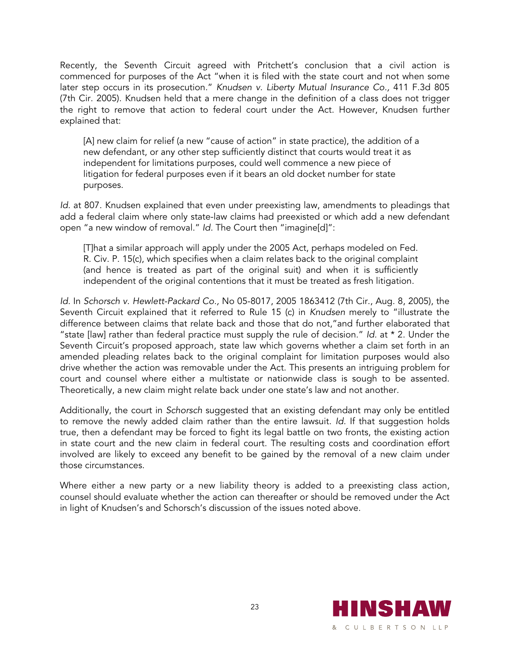Recently, the Seventh Circuit agreed with Pritchett's conclusion that a civil action is commenced for purposes of the Act "when it is filed with the state court and not when some later step occurs in its prosecution." *Knudsen v. Liberty Mutual Insurance Co.,* 411 F.3d 805 (7th Cir. 2005). Knudsen held that a mere change in the definition of a class does not trigger the right to remove that action to federal court under the Act. However, Knudsen further explained that:

[A] new claim for relief (a new "cause of action" in state practice), the addition of a new defendant, or any other step sufficiently distinct that courts would treat it as independent for limitations purposes, could well commence a new piece of litigation for federal purposes even if it bears an old docket number for state purposes.

*Id.* at 807. Knudsen explained that even under preexisting law, amendments to pleadings that add a federal claim where only state-law claims had preexisted or which add a new defendant open "a new window of removal." *Id.* The Court then "imagine[d]":

[T]hat a similar approach will apply under the 2005 Act, perhaps modeled on Fed. R. Civ. P. 15(c), which specifies when a claim relates back to the original complaint (and hence is treated as part of the original suit) and when it is sufficiently independent of the original contentions that it must be treated as fresh litigation.

*Id.* In *Schorsch v. Hewlett-Packard Co.,* No 05-8017, 2005 1863412 (7th Cir., Aug. 8, 2005), the Seventh Circuit explained that it referred to Rule 15 (c) in *Knudsen* merely to "illustrate the difference between claims that relate back and those that do not,"and further elaborated that "state [law] rather than federal practice must supply the rule of decision." *Id.* at \* 2. Under the Seventh Circuit's proposed approach, state law which governs whether a claim set forth in an amended pleading relates back to the original complaint for limitation purposes would also drive whether the action was removable under the Act. This presents an intriguing problem for court and counsel where either a multistate or nationwide class is sough to be assented. Theoretically, a new claim might relate back under one state's law and not another.

Additionally, the court in *Schorsch* suggested that an existing defendant may only be entitled to remove the newly added claim rather than the entire lawsuit. *Id.* If that suggestion holds true, then a defendant may be forced to fight its legal battle on two fronts, the existing action in state court and the new claim in federal court. The resulting costs and coordination effort involved are likely to exceed any benefit to be gained by the removal of a new claim under those circumstances.

Where either a new party or a new liability theory is added to a preexisting class action, counsel should evaluate whether the action can thereafter or should be removed under the Act in light of Knudsen's and Schorsch's discussion of the issues noted above.